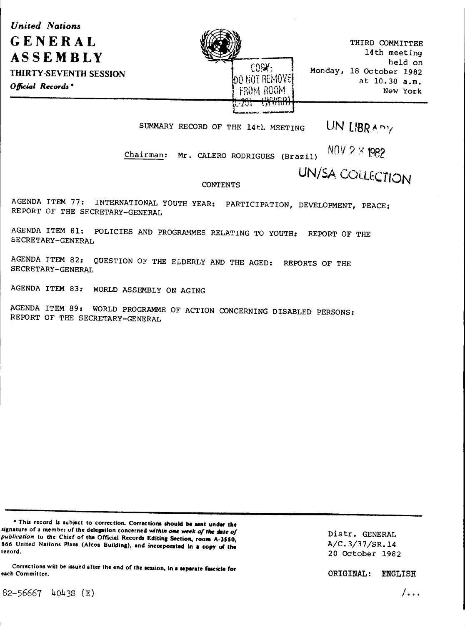*<u>United Nations</u>* GENERAL ASSEMBLY THIRTY-SEVENTH SESSION Official Records<sup>\*</sup>



THIRD COMMITTEE 14th meeting held on Monday, 18 October 1982 at 10.30 a.m. New York

SUMMARY RECORD OF THE 14th MEETING UN LIBRARY

Chairman: Mr. CALERO RODRIGUES (Brazil)  $N0V 2.5$  1982

UN/SA COLLECTION

**CONTENTS** 

AGENDA ITEM 77: INTERNATIONAL YOUTH YEAR: PARTICIPATION, DEVELOPMENT, PEACE: REPORT OF THE SECRETARY-GENERAL

AGENDA ITEM 81: POLICIES AND PROGRAMMES RELATING TO YOUTH: REPORT OF THE SECRETARY-GENERAL

AGENDA ITEM 82: QUESTION OF THE ELDERLY AND THE AGED: REPORTS OF THE SECRETARY-GENERAL

AGENDA ITEM 83: WORLD ASSEMBLY ON AGING

AGENDA ITEM 89: WORLD PROGRAMME OF ACTION CONCERNING DISABLED PERSONS: REPORT OF THE SECRETARY-GENERAL

\* This record is subject to correction. Corrections should be sent under the signature of a member of the delegation concerned within one week of the date of publication to the Chief of the Official Records Editing Section, room A-3550, 866 United Nations Plaza (Alcoa Building), and incorporated in a copy of the record.

Corrections will be issued after the end of the session, in a separate fascicle for **ENGLISH**<br>each Committee. **ENGLISH** 

Distr. GENERAL A/C.3/37/SR.l4 20 October 1982

 $82 - 56667$  4043S (E)  $\sqrt{36}$  ...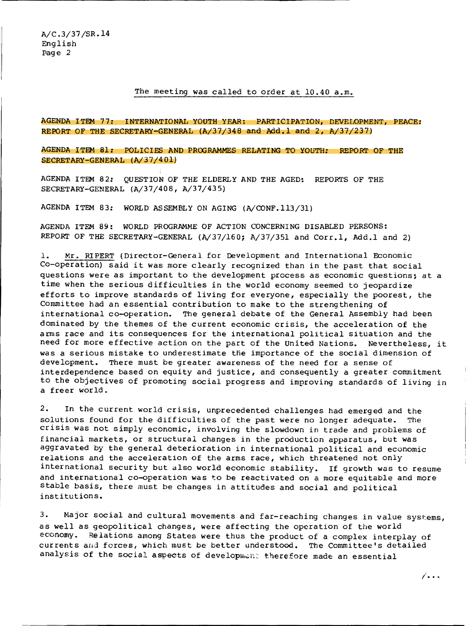## The meeting was called to order at 10.40 a.m.

AGENDA ITEM 77: INTERNATIONAL YOUTH YEAR: PARTICIPATION, DEVELOPMENT, PEACE: REPORT OF THE SECRETARY-GENERAL (A/37/348 and Add.l and 2, A/37/237)

AGENDA ITEM 81: POLICIES AND PRCGRAMMES RELATING TO YOUTH: REPORT OF THE SECRETARY-GENERAL (A/37/401)

AGENDA ITEM 82: QUESTION OF THE ELDERLY AND THE AGED: REPORTS OF THE SECRETARY-GENERAL (A/37/408, A/37/435)

AGENDA ITEM *83:* WORLD ASSEMBLY ON AGING (A/CONF.ll3/31)

AGENDA ITEM 89: WORLD PROGRAMME OF ACTION CONCERNING DISABLED PERSONS: REPORT OF THE SECRETARY-GENERAL (A/37/160; A/37/351 and Corr.1, Add.1 and 2)

1. Mr. RIPERT (Director-General for Development and International Economic Co-operation) said it was more clearly recognized than in the past that social questions were as important to the development process as economic questions; at a time when the serious difficulties in the world economy seemed to jeopardize efforts to improve standards of living for everyone, especially the poorest, the Committee had an essential contribution to make to the strengthening of international co-operation. The general debate of the General Assembly had been dominated by the themes of the current economic crisis, the acceleration of the arms race and its consequences for the international political situation and the need for more effective action on the part of the United Nations. Nevertheless, it was a serious mistake to underestimate the importance of the social dimension of development. There must be greater awareness of the need for a sense of interdependence based on equity and justice, and consequently a greater commitment to the objectives of promoting social progress and improving standards of living in a freer world.

2. In the current world crisis, unprecedented challenges had emerged and the solutions found for the difficulties of the past were no longer adequate. The crisis was not simply economic, involving the slowdown in trade and problems of financial markets, or structural changes in the production apparatus, but was aggravated by the general deterioration in international political and economic relations and the acceleration of the arms race, which threatened not only international security but also world economic stability. If growth was to resume and international co-operation was to be reactivated on a more equitable and more stable basis, there must be changes in attitudes and social and political institutions.

3. Major social and cultural movements and far-reaching changes in value systems, as well as geopolitical changes, were affecting the operation of the world economy. Relations among States were thus the product of a complex interplay of currents and forces, which must be better understood. The Committee's detailed analysis of the social aspects of development therefore made an essential

!' •• •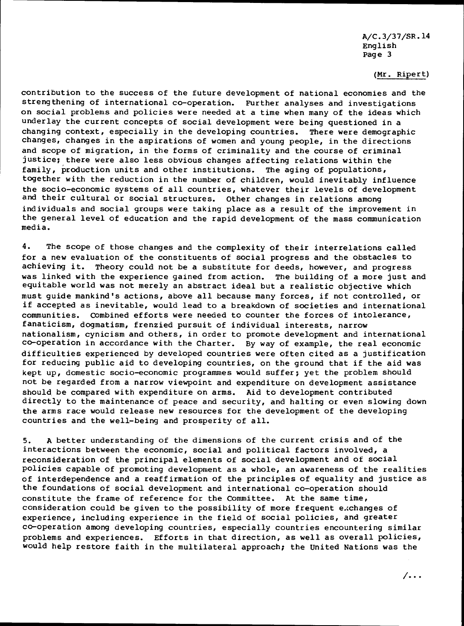# (Mr. Ripert)

contribution to the success of the future development of national economies and the strengthening of international co-operation. Further analyses and investigations on social problems and policies were needed at a time when many of the ideas which underlay the current concepts of social development were being questioned in a changing context, especially in the developing countries. There were demographic changes, changes in the aspirations of women and young people, in the directions and scope of migration, in the forms of criminality and the course of criminal justice; there were also less obvious changes affecting relations within the family, production units and other institutions. The aging of populations, together with the reduction in the number of children, would inevitably influence the socio-economic systems of all countries, whatever their levels of development and their cultural or social structures. Other changes in relations among individuals and social groups were taking place as a result of the improvement in the general level of education and the rapid development of the mass communication media.

4. The scope of those changes and the complexity of their interrelations called for a new evaluation of the constituents of social progress and the obstacles to achieving it. Theory could not be a substitute for deeds, however, and progress was linked with the experience gained from action. The building of a more just and equitable world was not merely an abstract ideal but a realistic objective which must guide mankind's actions, above all because many forces, if not controlled, or if accepted as inevitable, would lead to a breakdown of societies and international communities. COmbined efforts were needed to counter the forces of intolerance, fanaticism, dogmatism, frenzied pursuit of individual interests, narrow nationalism, cynicism and others, in order to promote development and international co-operation in accordance with the Charter. By way of example, the real economic difficulties experienced by developed countries were often cited as a justification for reducing public aid to developing countries, on the ground that if the aid was kept up, domestic socio-economic programmes would suffer; yet the problem should not be regarded from a narrow viewpoint and expenditure on development assistance should be compared with expenditure on arms. Aid to development contributed directly to the maintenance of peace and security, and halting or even slowing down the arms race would release new resources for the development of the developing countries and the well-being and prosperity of all.

5. A better understanding of the dimensions of the current crisis and of the interactions between the economic, social and political factors involved, a reconsideration of the principal elements of social development and of social policies capable of promoting development as a whole, an awareness of the realities of interdependence and a reaffirmation of the principles of equality and justice as the foundations of social development and international co-operation should constitute the frame of reference for the Committee. At the same time, consideration could be given to the possibility of more frequent exchanges of experience, including experience in the field of social policies, and greater co-operation among developing countries, especially countries encountering similar problems and experiences. Efforts in that direction, as well as overall policies, would help restore faith in the multilateral approach; the United Nations was the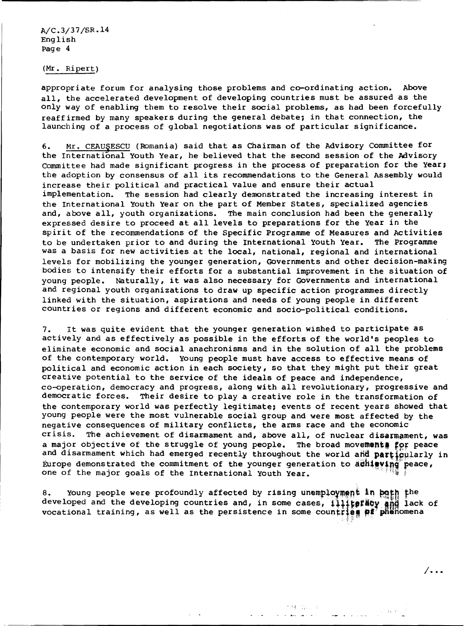(Mr. Ripert)

appropriate forum for analysing those problems and co-ordinating action. Above all, the accelerated development of developing countries must be assured as the only way of enabling them to resolve their social problems, as had been forcefully reaffirmed by many speakers during the general debate; in that connection, the launching of a process of global negotiations was of particular significance.

6. Mr. CEAU§ESCU (Romania) said that as Chairman of the Advisory Committee for the International Youth Year, he believed that the second session of the Advisory Committee had made significant progress in the process of preparation for the Year; the adoption by consensus of all its recommendations to the General Assembly would increase their political and practical value and ensure their actual implementation. The session had clearly demonstrated the increasing interest in the International Youth Year on the part of Member states, specialized agencies and, above all, youth organizations. The main conclusion had been the generally expressed desire to proceed at all levels to preparations for the Year in the spirit of the recommendations of the Specific Programme of Measures and Activities to be undertaken prior to and during the International Youth Year. The Programme was a basis for new activities at the local, national, regional and international levels for mobilizing the younger generation, Governments and other decision-making bodies to intensify their efforts for a substantial improvement in the situation of young people. Naturally, it was also necessary for Governments and international and regional youth organizations to draw up specific action programmes directly linked with the situation, aspirations and needs of young people in different countries or regions and different economic and socio-political conditions.

7. It was quite evident that the younger generation wished to participate as actively and as effectively as possible in the efforts of the world's peoples to eliminate economic and social anachronisms and in the solution of all the problems of the contemporary world. Young people must have access to effective means of political and economic action in each society, so that they might put their great creative potential to the service of the ideals of peace and independence, co-operation, democracy and progress, along with all revolutionary, progressive and democratic forces. Their desire to play a creative role in the transformation of the contemporary world was perfectly legitimate; events of recent years showed that young people were the most vulnerable social group and were most affected by the negative consequences of military conflicts, the arms race and the economic crisis. The achievement of disarmament and, above all, of nuclear disarmament, was a major objective of the struggle of young people. The broad movements for peace and disarmament which had emerged recently throughout the world and particularly in Europe demonstrated the commitment of the younger generation to  $a$ ching peace, one of the major goals of the International Youth Year.

8. Young people were profoundly affected by rising unemployment in bath the developed and the developing countries and, in some cases, i++++ efter and lack of vocational training, as well as the persistence in some countries  $p$ :  $p$ henomena

> 1994 年1月 年 And County of the

I ...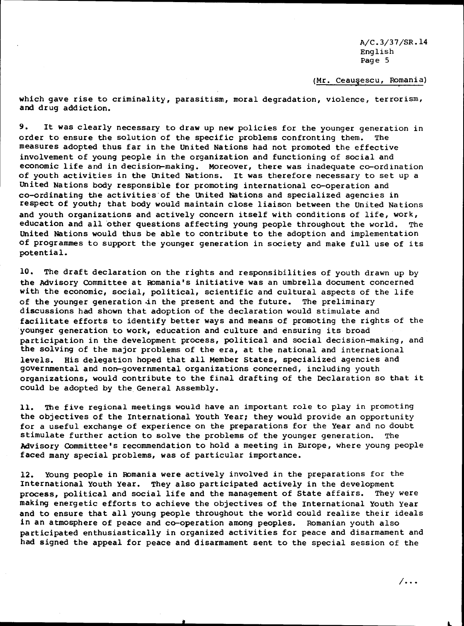(Mr. Ceauşescu, Romania)

which gave rise to criminality, parasitism, moral degradation, violence, terrorism, and drug addiction.

9. It was clearly necessary to draw up new policies for the younger generation in order to ensure the solution of the specific problems confronting them. The measures adopted thus far in the United Nations had not promoted the effective involvement of young people in the organization and functioning of social and economic life and in decision-making. Moreover, there was inadequate co-ordination of youth activities in the united Nations. It was therefore necessary to set up a United Nations body responsible for promoting international co-operation and co-ordinating the activities·of the united Nations and specialized agencies in respect of youth; that body would maintain close liaison between the United Nations and youth organizations and actively concern itself with conditions of life, work, education and all other questions affecting young people throughout the world. The United Nations would thus be able to contribute to the adoption and implementation of programmes to support the younger generation in society and make full use of its potential.

10. The draft declaration on the rights and responsibilities of youth drawn up by the Advisory Committee at Romania's initiative was an umbrella document concerned with the economic, social, political, scientific and cultural aspects of the life<br>of the younger generation in the present and the future. The preliminary of the younger generation in the present and the future. discussions had shown that adoption of the declaration would stimulate and facilitate efforts to identify better ways and means of promoting the rights of the younger generation to work, education and culture and ensuring its broad participation in the development process, political and social decision-making, and the solving of the major problems of the era, at the national and international levels. His delegation hoped that all Member States, specialized agencies and governmental and non-governmental organizations concerned, including youth organizations, would contribute to the final drafting of the Declaration so that it could be adopted by the General Assembly.

11. The five regional meetings would have an important role to play in promoting the objectives of the International Youth Year; they would provide an opportunity for a useful exchange of experience on the preparations for the Year and no doubt stimulate further action to solve the problems of the younger generation. The Advisory Committee's recommendation to hold a meeting in Europe, where young people faced many special problems, was of particular importance.

12. Young people in Romania were actively involved in the preparations for the International Youth Year. They also participated actively in the development process, political and social life and the management of State affairs. They were making energetic efforts to achieve the objectives of the International Youth Year and to ensure that all young people throughout the world could realize their ideals in an atmosphere of peace and co-operation among peoples. Romanian youth also participated enthusiastically in organized activities for peace and disarmament and had signed the appeal for peace and disarmament sent to the special session of the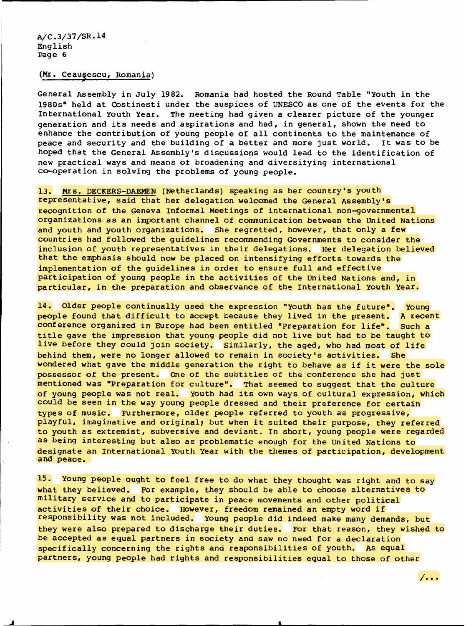(Mr. Ceausescu, Romania)

General Assembly in July 1982. Romania had hosted the Round Table "Youth in the 1980s" held at Oostinesti under the auspices of UNESCO as one of the events for the International Youth Year. The meeting had given a clearer picture of the younger generation and its needs and aspirations and had, in general, shown the need to enhance the contribution of young people of all continents to the maintenance of peace and security and the building of a better and more just world. It was to be peace and security and the building of a better and more just world. hoped that the General Assembly's discussions would lead to the identification of new practical ways and means of broadening and diversifying international co-operation in solving the problems of young people.

13. Mrs. DECKERS-DAEMEN (Netherlands) speaking as her country's youth representative, said that her delegation welcomed the General Assembly's recognition of the Geneva Informal Meetings of international non-governmental organizations as an important channel of communication between the United Nations and youth and youth organizations. She regretted, however, that only a few countries had followed the guidelines recommending Governments to consider the inclusion of youth representatives in their delegations. Her delegation believed that the emphasis should now be placed on intensifying efforts towards the implementation of the guidelines in order to ensure full and effective participation of young people in the activities of the United Nations and, in particular, in the preparation and observance of the International Youth Year.

14. Older people continually used the expression "Youth has the future". Young people found that difficult to accept because they lived in the present. A recent conference organized in Europe had been entitled "Preparation for life". Such a title gave the impression that young people did not live but had to be taught to live before they could join society. Similarly, the aged, who had most of life behind them, were no longer allowed to remain in society's activities. She wondered what gave the middle generation the right to behave as if it were the sole possessor of the present. One of the subtitles of the conference she had just mentioned was "Preparation for culture". That seemed to suggest that the culture of young people was not real. Youth had its own ways of cultural expression, which could be seen in the way young people dressed and their preference for certain types of music. FUrthermore, older people referred to youth as progressive, playful, imaginative and original; but when it suited their purpose, they referred to youth as extremist, subversive and deviant. In short, young people were regarded as being interesting but also as problematic enough for the United Nations to designate an International Youth Year with the themes of participation, development<br>and peace.

15. Young people ought to feel free to do what they thought was right and to say what they believed. For example, they should be able to choose alternatives to military service and to participate in peace movements and other political activities of their choice. However, freedom remained an empty word if responsibility was not included. Young people did indeed make many demands, but they were also prepared to discharge their duties. FOr that reason, they wished to be accepted as equal partners in society and saw no need for a declaration specifically concerning the rights and responsibilities of youth. As equal partners, young people had rights and responsibilities equal to those of other

 $/$ ...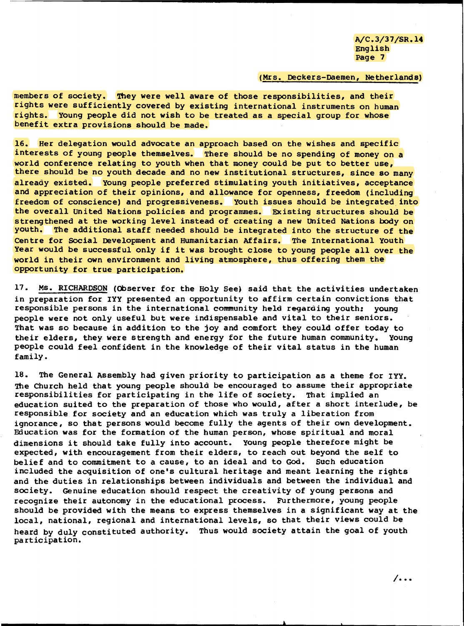## (Mrs. Deckers-Daemen, Netherlands)

members of society. They were well aware of those responsibilities, and their rights were sufficiently covered by existing international instruments on human rights. Young people did not wish to be treated as a special group for whose benefit extra provisions should be made.

16. Her delegation would advocate an approach based on the wishes and specific interests of young people themselves. There should be no spending of money on a world conference relating to youth when that money could be put to better use, there should be no youth decade and no new institutional structures, since so many already existed. Young people preferred stimulating youth initiatives, acceptance and appreciation of their opinions, and allowance for openness, freedom (including freedom of conscience) and progressiveness. Youth issues should be integrated into the overall United Nations policies and programmes. Existing structures should be strengthened at the working level instead of creating a new united Nations body on youth. The additional staff needed should be integrated into the structure of the Centre for SOCial Development and Humanitarian Affairs. The International Youth Year would be successful only if it was brought close to young people all over the world in their own environment and living atmosphere, thus offering them the opportunity for true participation.

17. Ms. RICHARDSON (Observer for the Holy See) said that the activities undertaken in preparation for IYY presented an opportunity to affirm certain convictions that responsible persons in the international community held regarding youth: young people were not only useful but were indispensable and vital to their seniors. That was so because in addition to the joy and comfort they could offer today to their elders, they were strength and energy for the future human community. Young people could feel confident in the knowledge of their vital status in the human family.

18. The General Assembly had given priority to participation as a theme for IYY. The Church held that young people should be encouraged to assume their appropriate responsibilities for participating in the life of society. That implied an education suited to the preparation of those who would, after a short interlude, be responsible for society and an education which was truly a liberation from ignorance, so that persons would become fully the agents of their own development. Education was for the formation of the human person, whose spiritual and moral dimensions it should take fully into account. Young people therefore might be expected, with encouragement from their elders, to reach out beyond the self to belief and to commitment to a cause, to an ideal and to God. such education included the acquisition of one's cultural heritage and meant learning the rights and the duties in relationships between individuals and between the individual and society. Genuine education should respect the creativity of young persons and recognize their autonomy in the educational process. Furthermore, young people should be provided with the means to express themselves in a significant way at the local, national, regional and international levels, so that their views could be heard by duly constituted authority. Thus would society attain the goal of youth participation.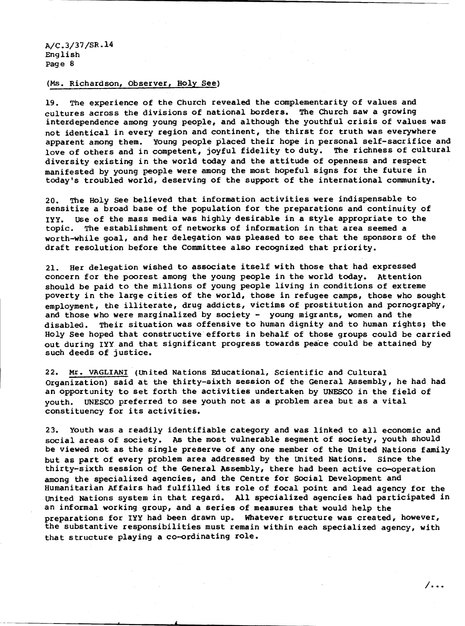### (Ms. Richard son, Observer, Holy See)

19. The experience of the Church revealed the complementarity of values and cultures across the divisions of national borders. The Church saw a growing interdependence among young people, and although the youthful crisis of values was not identical in every region and continent, the thirst for truth was everywhere apparent among them. Young people placed their hope in personal self-sacrifice and<br>love of others and in competent, joyful fidelity to duty. The richness of cultural love of others and in competent, joyful fidelity to duty. diversity existing in the world today and the attitude of openness and respect manifested by young people were among the most hopeful signs for the future in today's troubled world, deserving of the support of the international community.

20. The Holy see believed that information activities were indispensable to sensitize a broad base of the population for the preparations and continuity of IYY. use of the mass media was highly desirable in a style appropriate to the topic. The establishment of networks of information in that area seemed a worth-while goal, and her delegation was pleased to see that the sponsors of the draft resolution before the Committee also recognized that priority.

21. Her delegation wished to associate itself with those that had expressed concern for the poorest among the young people in the world today. Attention should be paid to the millions of young people living in conditions of extreme poverty in the large cities of the world, those in refugee camps, those who sought employment, the illiterate, drug addicts, victims of prostitution and pornography, and those who were marginalized by society - young migrants, women and the disabled. Their situation was offensive to human dignity and to human rights; the Holy See hoped that constructive efforts in behalf of those groups could be carried out during IYY and that significant progress towards peace could be attained by such deeds of justice.

22. Mr. VAGLIANI (united Nations Educational, Scientific and Cultural Organization) said at the thirty-sixth session of the General ASsembly, he had had an opportunity to set forth the activities undertaken by UNESCO in the field of youth. UNESCO preferred to see youth not as a problem area but as a vital constituency for its activities.

23. Youth was a readily identifiable category and was linked to all economic and social areas of society. AS the most vulnerable segment of society, youth should be viewed not as the single preserve of any one member of the United Nations family but as part of every problem area addressed by the united Nations. Since the thirty-sixth session of the General Assembly, there had been active co-operation among the specialized agencies, and the centre for social Development and Humanitarian Affairs had fulfilled its role of focal point and lead agency for the united Nations system in that regard. All specialized agencies had participated in an informal working group, and a series of measures that would help the preparations for IYY had been drawn up. Whatever structure was created, however, the substantive responsibilities must remain within each specialized agency, with that structure playing a co-ordinating role.

I . ..